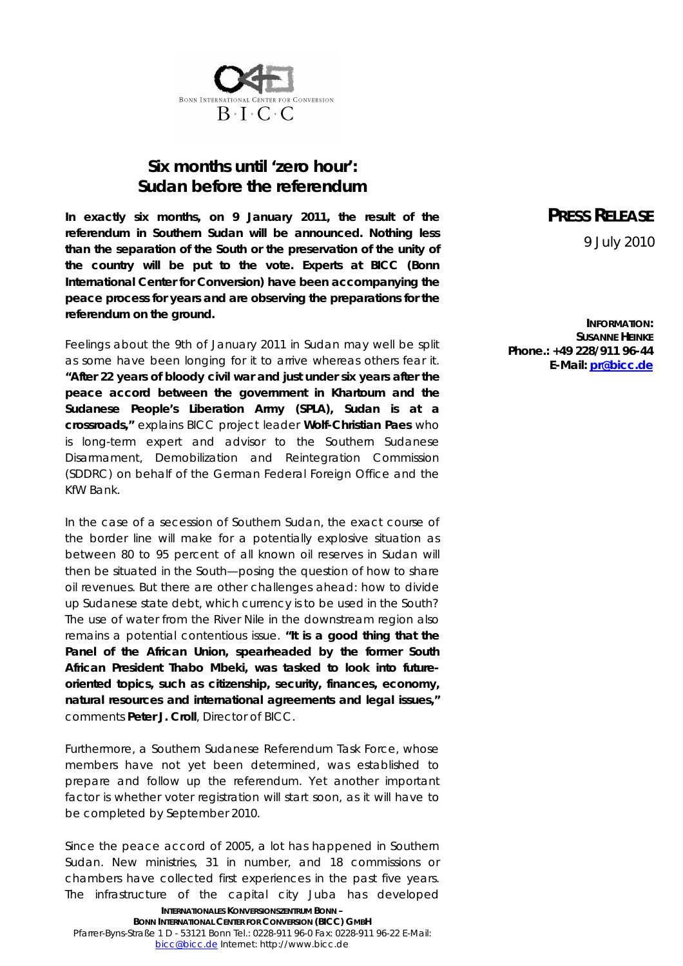

## *Six months until 'zero hour': Sudan before the referendum*

**In exactly six months, on 9 January 2011, the result of the referendum in Southern Sudan will be announced. Nothing less than the separation of the South or the preservation of the unity of the country will be put to the vote. Experts at BICC (Bonn International Center for Conversion) have been accompanying the peace process for years and are observing the preparations for the referendum on the ground.**

Feelings about the 9th of January 2011 in Sudan may well be split as some have been longing for it to arrive whereas others fear it. **"After 22 years of bloody civil war and just under six years after the peace accord between the government in Khartoum and the Sudanese People's Liberation Army (SPLA), Sudan is at a crossroads,"** explains BICC project leader **Wolf-Christian Paes** who is long-term expert and advisor to the Southern Sudanese Disarmament, Demobilization and Reintegration Commission (SDDRC) on behalf of the German Federal Foreign Office and the KfW Bank.

In the case of a secession of Southern Sudan, the exact course of the border line will make for a potentially explosive situation as between 80 to 95 percent of all known oil reserves in Sudan will then be situated in the South—posing the question of how to share oil revenues. But there are other challenges ahead: how to divide up Sudanese state debt, which currency is to be used in the South? The use of water from the River Nile in the downstream region also remains a potential contentious issue. **"It is a good thing that the Panel of the African Union, spearheaded by the former South African President Thabo Mbeki, was tasked to look into futureoriented topics, such as citizenship, security, finances, economy, natural resources and international agreements and legal issues,"** comments **Peter J. Croll**, Director of BICC.

Furthermore, a Southern Sudanese Referendum Task Force, whose members have not yet been determined, was established to prepare and follow up the referendum. Yet another important factor is whether voter registration will start soon, as it will have to be completed by September 2010.

Since the peace accord of 2005, a lot has happened in Southern Sudan. New ministries, 31 in number, and 18 commissions or chambers have collected first experiences in the past five years. The infrastructure of the capital city Juba has developed

## **PRESS RELEASE** 9 July 2010

**INFORMATION: SUSANNE HEINKE Phone.: +49 228/911 96-44 E-Mail: [pr@bicc.de](mailto:pr@bicc.de)**